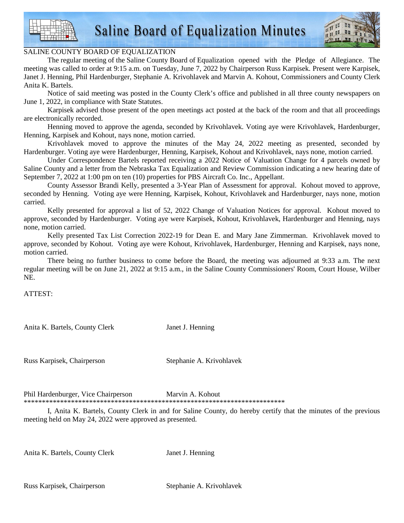



## SALINE COUNTY BOARD OF EQUALIZATION

 The regular meeting of the Saline County Board of Equalization opened with the Pledge of Allegiance. The meeting was called to order at 9:15 a.m. on Tuesday, June 7, 2022 by Chairperson Russ Karpisek. Present were Karpisek, Janet J. Henning, Phil Hardenburger, Stephanie A. Krivohlavek and Marvin A. Kohout, Commissioners and County Clerk Anita K. Bartels.

 Notice of said meeting was posted in the County Clerk's office and published in all three county newspapers on June 1, 2022, in compliance with State Statutes.

 Karpisek advised those present of the open meetings act posted at the back of the room and that all proceedings are electronically recorded.

 Henning moved to approve the agenda, seconded by Krivohlavek. Voting aye were Krivohlavek, Hardenburger, Henning, Karpisek and Kohout, nays none, motion carried.

 Krivohlavek moved to approve the minutes of the May 24, 2022 meeting as presented, seconded by Hardenburger. Voting aye were Hardenburger, Henning, Karpisek, Kohout and Krivohlavek, nays none, motion carried.

 Under Correspondence Bartels reported receiving a 2022 Notice of Valuation Change for 4 parcels owned by Saline County and a letter from the Nebraska Tax Equalization and Review Commission indicating a new hearing date of September 7, 2022 at 1:00 pm on ten (10) properties for PBS Aircraft Co. Inc., Appellant.

 County Assessor Brandi Kelly, presented a 3-Year Plan of Assessment for approval. Kohout moved to approve, seconded by Henning. Voting aye were Henning, Karpisek, Kohout, Krivohlavek and Hardenburger, nays none, motion carried.

 Kelly presented for approval a list of 52, 2022 Change of Valuation Notices for approval. Kohout moved to approve, seconded by Hardenburger. Voting aye were Karpisek, Kohout, Krivohlavek, Hardenburger and Henning, nays none, motion carried.

 Kelly presented Tax List Correction 2022-19 for Dean E. and Mary Jane Zimmerman. Krivohlavek moved to approve, seconded by Kohout. Voting aye were Kohout, Krivohlavek, Hardenburger, Henning and Karpisek, nays none, motion carried.

 There being no further business to come before the Board, the meeting was adjourned at 9:33 a.m. The next regular meeting will be on June 21, 2022 at 9:15 a.m., in the Saline County Commissioners' Room, Court House, Wilber NE.

ATTEST:

Anita K. Bartels, County Clerk Janet J. Henning

Russ Karpisek, Chairperson Stephanie A. Krivohlavek

Phil Hardenburger, Vice Chairperson Marvin A. Kohout \*\*\*\*\*\*\*\*\*\*\*\*\*\*\*\*\*\*\*\*\*\*\*\*\*\*\*\*\*\*\*\*\*\*\*\*\*\*\*\*\*\*\*\*\*\*\*\*\*\*\*\*\*\*\*\*\*\*\*\*\*\*\*\*\*\*\*\*\*\*\*\*

 I, Anita K. Bartels, County Clerk in and for Saline County, do hereby certify that the minutes of the previous meeting held on May 24, 2022 were approved as presented.

Anita K. Bartels, County Clerk Janet J. Henning

Russ Karpisek, Chairperson Stephanie A. Krivohlavek